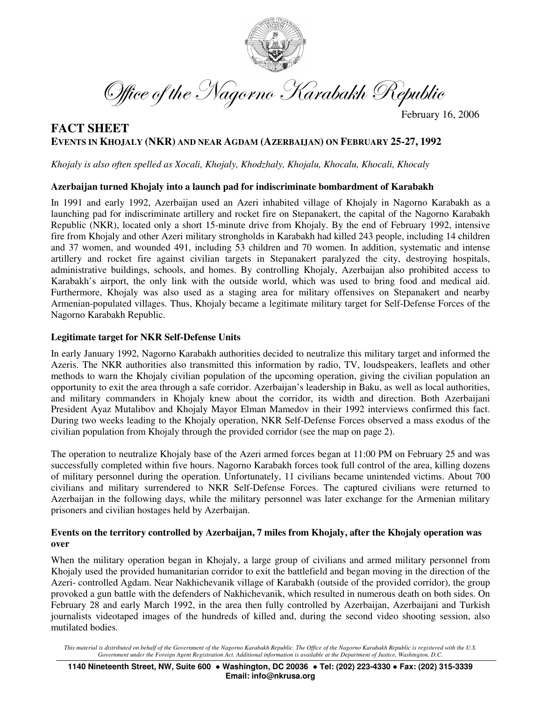

Office of the Nagorno Karabakh Republic -

February 16, 2006

# **FACT SHEET EVENTS IN KHOJALY (NKR) AND NEAR AGDAM (AZERBAIJAN) ON FEBRUARY 25-27, 1992**

*Khojaly is also often spelled as Xocali, Khojaly, Khodzhaly, Khojalu, Khocalu, Khocali, Khocaly*

## **Azerbaijan turned Khojaly into a launch pad for indiscriminate bombardment of Karabakh**

In 1991 and early 1992, Azerbaijan used an Azeri inhabited village of Khojaly in Nagorno Karabakh as a launching pad for indiscriminate artillery and rocket fire on Stepanakert, the capital of the Nagorno Karabakh Republic (NKR), located only a short 15-minute drive from Khojaly. By the end of February 1992, intensive fire from Khojaly and other Azeri military strongholds in Karabakh had killed 243 people, including 14 children and 37 women, and wounded 491, including 53 children and 70 women. In addition, systematic and intense artillery and rocket fire against civilian targets in Stepanakert paralyzed the city, destroying hospitals, administrative buildings, schools, and homes. By controlling Khojaly, Azerbaijan also prohibited access to Karabakh's airport, the only link with the outside world, which was used to bring food and medical aid. Furthermore, Khojaly was also used as a staging area for military offensives on Stepanakert and nearby Armenian-populated villages. Thus, Khojaly became a legitimate military target for Self-Defense Forces of the Nagorno Karabakh Republic.

#### **Legitimate target for NKR Self-Defense Units**

In early January 1992, Nagorno Karabakh authorities decided to neutralize this military target and informed the Azeris. The NKR authorities also transmitted this information by radio, TV, loudspeakers, leaflets and other methods to warn the Khojaly civilian population of the upcoming operation, giving the civilian population an opportunity to exit the area through a safe corridor. Azerbaijan's leadership in Baku, as well as local authorities, and military commanders in Khojaly knew about the corridor, its width and direction. Both Azerbaijani President Ayaz Mutalibov and Khojaly Mayor Elman Mamedov in their 1992 interviews confirmed this fact. During two weeks leading to the Khojaly operation, NKR Self-Defense Forces observed a mass exodus of the civilian population from Khojaly through the provided corridor (see the map on page 2).

The operation to neutralize Khojaly base of the Azeri armed forces began at 11:00 PM on February 25 and was successfully completed within five hours. Nagorno Karabakh forces took full control of the area, killing dozens of military personnel during the operation. Unfortunately, 11 civilians became unintended victims. About 700 civilians and military surrendered to NKR Self-Defense Forces. The captured civilians were returned to Azerbaijan in the following days, while the military personnel was later exchange for the Armenian military prisoners and civilian hostages held by Azerbaijan.

## **Events on the territory controlled by Azerbaijan, 7 miles from Khojaly, after the Khojaly operation was over**

When the military operation began in Khojaly, a large group of civilians and armed military personnel from Khojaly used the provided humanitarian corridor to exit the battlefield and began moving in the direction of the Azeri- controlled Agdam. Near Nakhichevanik village of Karabakh (outside of the provided corridor), the group provoked a gun battle with the defenders of Nakhichevanik, which resulted in numerous death on both sides. On February 28 and early March 1992, in the area then fully controlled by Azerbaijan, Azerbaijani and Turkish journalists videotaped images of the hundreds of killed and, during the second video shooting session, also mutilated bodies.

This material is distributed on behalf of the Government of the Nagorno Karabakh Republic. The Office of the Nagorno Karabakh Republic is registered with the U.S. Government under the Foreign Agent Registration Act. Additional information is available at the Department of Justice, Washington, D.C.

**1140 Nineteenth Street, NW, Suite 600 Washington, DC 20036 Tel: (202) 223-4330 Fax: (202) 315-3339 Email: info@nkrusa.org**